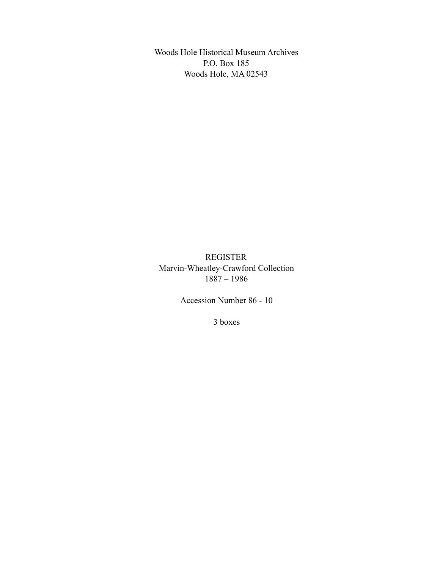Woods Hole Historical Museum Archives P.O. Box 185 Woods Hole, MA 02543

REGISTER Marvin-Wheatley-Crawford Collection 1887 – 1986

Accession Number 86 - 10

3 boxes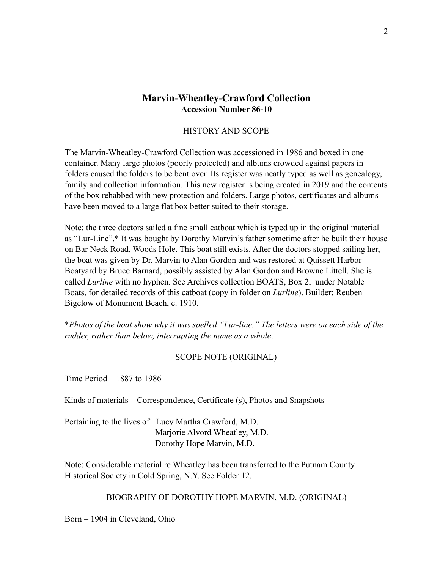## **Marvin-Wheatley-Crawford Collection Accession Number 86-10**

### HISTORY AND SCOPE

The Marvin-Wheatley-Crawford Collection was accessioned in 1986 and boxed in one container. Many large photos (poorly protected) and albums crowded against papers in folders caused the folders to be bent over. Its register was neatly typed as well as genealogy, family and collection information. This new register is being created in 2019 and the contents of the box rehabbed with new protection and folders. Large photos, certificates and albums have been moved to a large flat box better suited to their storage.

Note: the three doctors sailed a fine small catboat which is typed up in the original material as "Lur-Line".\* It was bought by Dorothy Marvin's father sometime after he built their house on Bar Neck Road, Woods Hole. This boat still exists. After the doctors stopped sailing her, the boat was given by Dr. Marvin to Alan Gordon and was restored at Quissett Harbor Boatyard by Bruce Barnard, possibly assisted by Alan Gordon and Browne Littell. She is called *Lurline* with no hyphen. See Archives collection BOATS, Box 2, under Notable Boats, for detailed records of this catboat (copy in folder on *Lurline*). Builder: Reuben Bigelow of Monument Beach, c. 1910.

\**Photos of the boat show why it was spelled "Lur-line." The letters were on each side of the rudder, rather than below, interrupting the name as a whole*.

### SCOPE NOTE (ORIGINAL)

Time Period – 1887 to 1986

Kinds of materials – Correspondence, Certificate (s), Photos and Snapshots

Pertaining to the lives of Lucy Martha Crawford, M.D. Marjorie Alvord Wheatley, M.D. Dorothy Hope Marvin, M.D.

Note: Considerable material re Wheatley has been transferred to the Putnam County Historical Society in Cold Spring, N.Y. See Folder 12.

BIOGRAPHY OF DOROTHY HOPE MARVIN, M.D. (ORIGINAL)

Born – 1904 in Cleveland, Ohio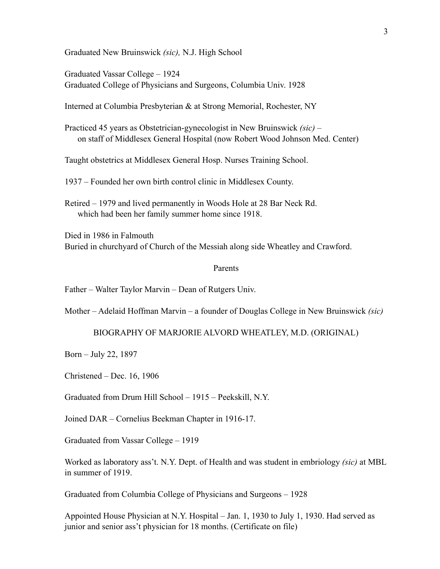Graduated New Bruinswick *(sic),* N.J. High School

Graduated Vassar College – 1924 Graduated College of Physicians and Surgeons, Columbia Univ. 1928

Interned at Columbia Presbyterian & at Strong Memorial, Rochester, NY

Practiced 45 years as Obstetrician-gynecologist in New Bruinswick *(sic)* – on staff of Middlesex General Hospital (now Robert Wood Johnson Med. Center)

Taught obstetrics at Middlesex General Hosp. Nurses Training School.

1937 – Founded her own birth control clinic in Middlesex County.

Retired – 1979 and lived permanently in Woods Hole at 28 Bar Neck Rd. which had been her family summer home since 1918.

Died in 1986 in Falmouth Buried in churchyard of Church of the Messiah along side Wheatley and Crawford.

### Parents

Father – Walter Taylor Marvin – Dean of Rutgers Univ.

Mother – Adelaid Hoffman Marvin – a founder of Douglas College in New Bruinswick *(sic)*

BIOGRAPHY OF MARJORIE ALVORD WHEATLEY, M.D. (ORIGINAL)

Born – July 22, 1897

Christened – Dec. 16, 1906

Graduated from Drum Hill School – 1915 – Peekskill, N.Y.

Joined DAR – Cornelius Beekman Chapter in 1916-17.

Graduated from Vassar College – 1919

Worked as laboratory ass't. N.Y. Dept. of Health and was student in embriology *(sic)* at MBL in summer of 1919.

Graduated from Columbia College of Physicians and Surgeons – 1928

Appointed House Physician at N.Y. Hospital – Jan. 1, 1930 to July 1, 1930. Had served as junior and senior ass't physician for 18 months. (Certificate on file)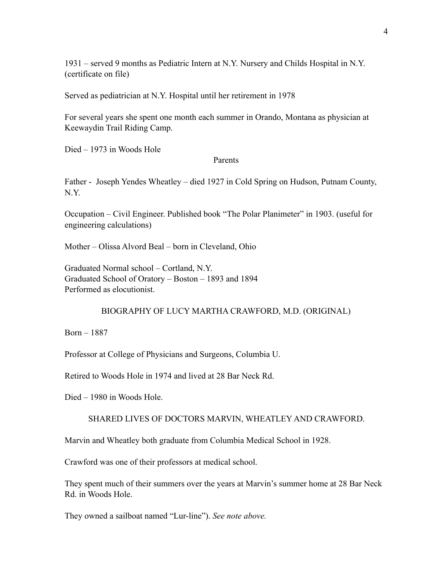1931 – served 9 months as Pediatric Intern at N.Y. Nursery and Childs Hospital in N.Y. (certificate on file)

Served as pediatrician at N.Y. Hospital until her retirement in 1978

For several years she spent one month each summer in Orando, Montana as physician at Keewaydin Trail Riding Camp.

Died – 1973 in Woods Hole

### Parents

Father - Joseph Yendes Wheatley – died 1927 in Cold Spring on Hudson, Putnam County, N.Y.

Occupation – Civil Engineer. Published book "The Polar Planimeter" in 1903. (useful for engineering calculations)

Mother – Olissa Alvord Beal – born in Cleveland, Ohio

Graduated Normal school – Cortland, N.Y. Graduated School of Oratory – Boston – 1893 and 1894 Performed as elocutionist.

### BIOGRAPHY OF LUCY MARTHA CRAWFORD, M.D. (ORIGINAL)

Born – 1887

Professor at College of Physicians and Surgeons, Columbia U.

Retired to Woods Hole in 1974 and lived at 28 Bar Neck Rd.

Died – 1980 in Woods Hole.

### SHARED LIVES OF DOCTORS MARVIN, WHEATLEY AND CRAWFORD.

Marvin and Wheatley both graduate from Columbia Medical School in 1928.

Crawford was one of their professors at medical school.

They spent much of their summers over the years at Marvin's summer home at 28 Bar Neck Rd. in Woods Hole.

They owned a sailboat named "Lur-line"). *See note above.*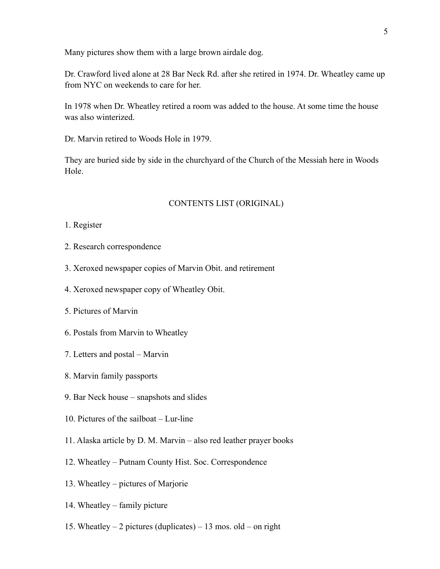Many pictures show them with a large brown airdale dog.

Dr. Crawford lived alone at 28 Bar Neck Rd. after she retired in 1974. Dr. Wheatley came up from NYC on weekends to care for her.

In 1978 when Dr. Wheatley retired a room was added to the house. At some time the house was also winterized.

Dr. Marvin retired to Woods Hole in 1979.

They are buried side by side in the churchyard of the Church of the Messiah here in Woods Hole.

### CONTENTS LIST (ORIGINAL)

- 1. Register
- 2. Research correspondence
- 3. Xeroxed newspaper copies of Marvin Obit. and retirement
- 4. Xeroxed newspaper copy of Wheatley Obit.
- 5. Pictures of Marvin
- 6. Postals from Marvin to Wheatley
- 7. Letters and postal Marvin
- 8. Marvin family passports
- 9. Bar Neck house snapshots and slides
- 10. Pictures of the sailboat Lur-line
- 11. Alaska article by D. M. Marvin also red leather prayer books
- 12. Wheatley Putnam County Hist. Soc. Correspondence
- 13. Wheatley pictures of Marjorie
- 14. Wheatley family picture
- 15. Wheatley 2 pictures (duplicates) 13 mos. old on right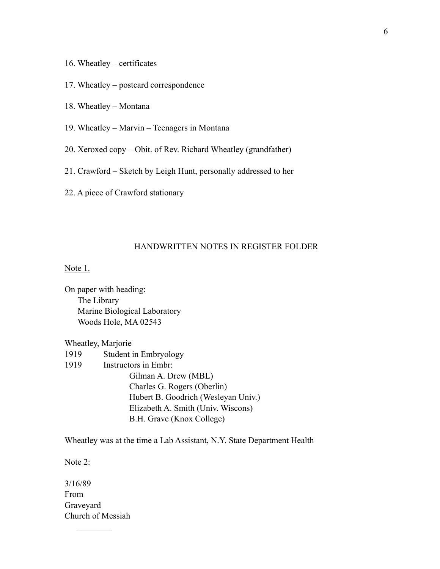- 16. Wheatley certificates
- 17. Wheatley postcard correspondence
- 18. Wheatley Montana
- 19. Wheatley Marvin Teenagers in Montana
- 20. Xeroxed copy Obit. of Rev. Richard Wheatley (grandfather)
- 21. Crawford Sketch by Leigh Hunt, personally addressed to her
- 22. A piece of Crawford stationary

### HANDWRITTEN NOTES IN REGISTER FOLDER

Note 1.

On paper with heading: The Library Marine Biological Laboratory Woods Hole, MA 02543

Wheatley, Marjorie

- 1919 Student in Embryology
- 1919 Instructors in Embr:

 Gilman A. Drew (MBL) Charles G. Rogers (Oberlin) Hubert B. Goodrich (Wesleyan Univ.) Elizabeth A. Smith (Univ. Wiscons) B.H. Grave (Knox College)

Wheatley was at the time a Lab Assistant, N.Y. State Department Health

Note 2:

3/16/89 From Graveyard Church of Messiah

 $\frac{1}{2}$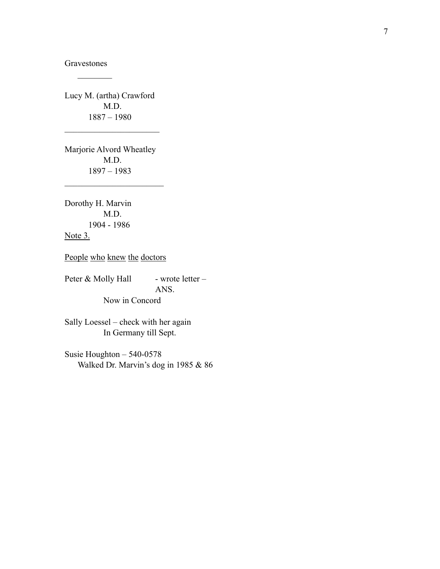Gravestones  $\frac{1}{2}$ 

Lucy M. (artha) Crawford M.D. 1887 – 1980

 $\mathcal{L}_\text{max}$  , where  $\mathcal{L}_\text{max}$  , we have the set of  $\mathcal{L}_\text{max}$ 

Marjorie Alvord Wheatley M.D. 1897 – 1983

 $\mathcal{L}_\text{max}$  , where  $\mathcal{L}_\text{max}$  , we have the set of  $\mathcal{L}_\text{max}$ 

Dorothy H. Marvin M.D. 1904 - 1986 Note 3.

People who knew the doctors

Peter & Molly Hall - wrote letter - ANS. Now in Concord

Sally Loessel – check with her again In Germany till Sept.

Susie Houghton – 540-0578 Walked Dr. Marvin's dog in 1985 & 86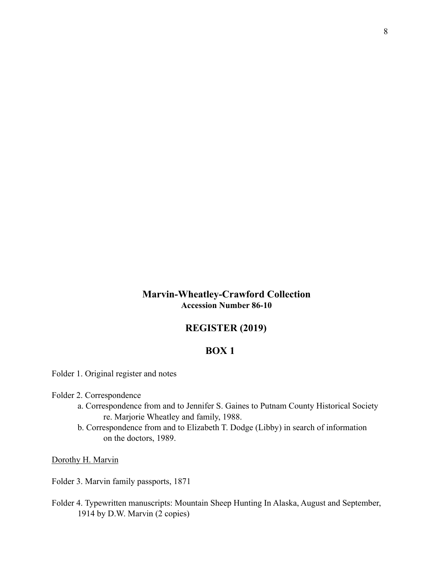# **Marvin-Wheatley-Crawford Collection Accession Number 86-10**

# **REGISTER (2019)**

# **BOX 1**

Folder 1. Original register and notes

Folder 2. Correspondence

- a. Correspondence from and to Jennifer S. Gaines to Putnam County Historical Society re. Marjorie Wheatley and family, 1988.
- b. Correspondence from and to Elizabeth T. Dodge (Libby) in search of information on the doctors, 1989.

Dorothy H. Marvin

Folder 3. Marvin family passports, 1871

Folder 4. Typewritten manuscripts: Mountain Sheep Hunting In Alaska, August and September, 1914 by D.W. Marvin (2 copies)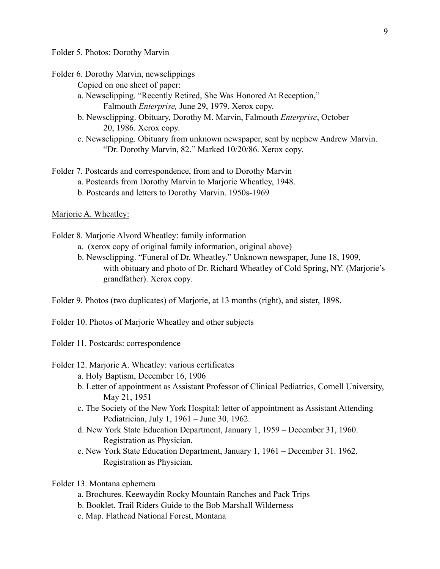Folder 5. Photos: Dorothy Marvin

Folder 6. Dorothy Marvin, newsclippings

Copied on one sheet of paper:

- a. Newsclipping. "Recently Retired, She Was Honored At Reception," Falmouth *Enterprise,* June 29, 1979. Xerox copy.
- b. Newsclipping. Obituary, Dorothy M. Marvin, Falmouth *Enterprise*, October 20, 1986. Xerox copy.
- c. Newsclipping. Obituary from unknown newspaper, sent by nephew Andrew Marvin. "Dr. Dorothy Marvin, 82." Marked 10/20/86. Xerox copy.

Folder 7. Postcards and correspondence, from and to Dorothy Marvin

- a. Postcards from Dorothy Marvin to Marjorie Wheatley, 1948.
- b. Postcards and letters to Dorothy Marvin. 1950s-1969

### Marjorie A. Wheatley:

Folder 8. Marjorie Alvord Wheatley: family information

- a. (xerox copy of original family information, original above)
- b. Newsclipping. "Funeral of Dr. Wheatley." Unknown newspaper, June 18, 1909, with obituary and photo of Dr. Richard Wheatley of Cold Spring, NY. (Marjorie's grandfather). Xerox copy.

Folder 9. Photos (two duplicates) of Marjorie, at 13 months (right), and sister, 1898.

Folder 10. Photos of Marjorie Wheatley and other subjects

Folder 11. Postcards: correspondence

Folder 12. Marjorie A. Wheatley: various certificates

- a. Holy Baptism, December 16, 1906
- b. Letter of appointment as Assistant Professor of Clinical Pediatrics, Cornell University, May 21, 1951
- c. The Society of the New York Hospital: letter of appointment as Assistant Attending Pediatrician, July 1, 1961 – June 30, 1962.
- d. New York State Education Department, January 1, 1959 December 31, 1960. Registration as Physician.
- e. New York State Education Department, January 1, 1961 December 31. 1962. Registration as Physician.

Folder 13. Montana ephemera

- a. Brochures. Keewaydin Rocky Mountain Ranches and Pack Trips
- b. Booklet. Trail Riders Guide to the Bob Marshall Wilderness
- c. Map. Flathead National Forest, Montana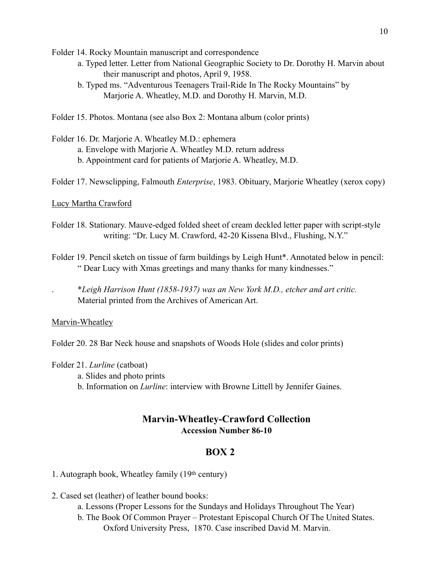Folder 14. Rocky Mountain manuscript and correspondence

- a. Typed letter. Letter from National Geographic Society to Dr. Dorothy H. Marvin about their manuscript and photos, April 9, 1958.
- b. Typed ms. "Adventurous Teenagers Trail-Ride In The Rocky Mountains" by Marjorie A. Wheatley, M.D. and Dorothy H. Marvin, M.D.

Folder 15. Photos. Montana (see also Box 2: Montana album (color prints)

Folder 16. Dr. Marjorie A. Wheatley M.D.: ephemera a. Envelope with Marjorie A. Wheatley M.D. return address b. Appointment card for patients of Marjorie A. Wheatley, M.D.

Folder 17. Newsclipping, Falmouth *Enterprise*, 1983. Obituary, Marjorie Wheatley (xerox copy)

### Lucy Martha Crawford

- Folder 18. Stationary. Mauve-edged folded sheet of cream deckled letter paper with script-style writing: "Dr. Lucy M. Crawford, 42-20 Kissena Blvd., Flushing, N.Y."
- Folder 19. Pencil sketch on tissue of farm buildings by Leigh Hunt\*. Annotated below in pencil: " Dear Lucy with Xmas greetings and many thanks for many kindnesses."

. \**Leigh Harrison Hunt (1858-1937) was an New York M.D., etcher and art critic.*  Material printed from the Archives of American Art.

### Marvin-Wheatley

Folder 20. 28 Bar Neck house and snapshots of Woods Hole (slides and color prints)

#### Folder 21. *Lurline* (catboat)

- a. Slides and photo prints
- b. Information on *Lurline*: interview with Browne Littell by Jennifer Gaines.

### **Marvin-Wheatley-Crawford Collection Accession Number 86-10**

## **BOX 2**

1. Autograph book, Wheatley family (19th century)

- 2. Cased set (leather) of leather bound books:
	- a. Lessons (Proper Lessons for the Sundays and Holidays Throughout The Year)
	- b. The Book Of Common Prayer Protestant Episcopal Church Of The United States. Oxford University Press, 1870. Case inscribed David M. Marvin.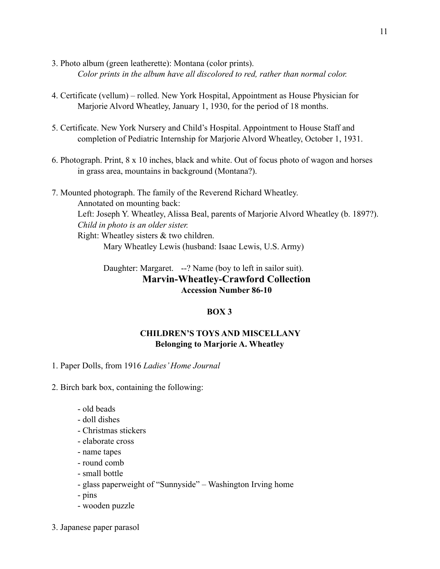- 3. Photo album (green leatherette): Montana (color prints). *Color prints in the album have all discolored to red, rather than normal color.*
- 4. Certificate (vellum) rolled. New York Hospital, Appointment as House Physician for Marjorie Alvord Wheatley, January 1, 1930, for the period of 18 months.
- 5. Certificate. New York Nursery and Child's Hospital. Appointment to House Staff and completion of Pediatric Internship for Marjorie Alvord Wheatley, October 1, 1931.
- 6. Photograph. Print, 8 x 10 inches, black and white. Out of focus photo of wagon and horses in grass area, mountains in background (Montana?).
- 7. Mounted photograph. The family of the Reverend Richard Wheatley. Annotated on mounting back: Left: Joseph Y. Wheatley, Alissa Beal, parents of Marjorie Alvord Wheatley (b. 1897?). *Child in photo is an older sister.*  Right: Wheatley sisters & two children. Mary Wheatley Lewis (husband: Isaac Lewis, U.S. Army)

# Daughter: Margaret. --? Name (boy to left in sailor suit). **Marvin-Wheatley-Crawford Collection Accession Number 86-10**

# **BOX 3**

## **CHILDREN'S TOYS AND MISCELLANY Belonging to Marjorie A. Wheatley**

1. Paper Dolls, from 1916 *Ladies' Home Journal*

2. Birch bark box, containing the following:

- old beads
- doll dishes
- Christmas stickers
- elaborate cross
- name tapes
- round comb
- small bottle
- glass paperweight of "Sunnyside" Washington Irving home
- pins
- wooden puzzle
- 3. Japanese paper parasol